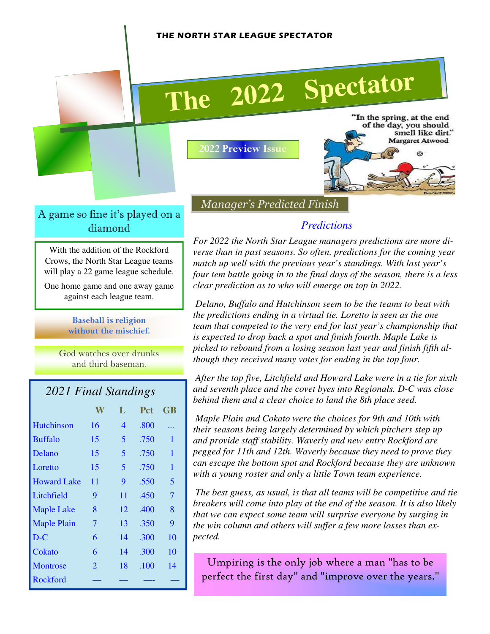#### THE NORTH STAR LEAGUE SPECTATOR

# **The <sup>2022</sup> Spectator**

A game so fine it's played on a diamond

With the addition of the Rockford Crows, the North Star League teams will play a 22 game league schedule.

One home game and one away game against each league team.

> Baseball is religion without the mischief.

God watches over drunks and third baseman.

#### *2021 Final Standings*

|                    |    | L                       | <b>Pct</b> | GB |
|--------------------|----|-------------------------|------------|----|
| <b>Hutchinson</b>  | 16 | 4                       | .800       |    |
| <b>Buffalo</b>     | 15 | $\overline{\mathbf{5}}$ | .750       | 1  |
| Delano             | 15 | 5                       | .750       | 1  |
| Loretto            | 15 | 5                       | .750       | 1  |
| <b>Howard Lake</b> | 11 | 9                       | .550       | 5  |
| Litchfield         | 9  | 11                      | .450       | 7  |
| <b>Maple Lake</b>  | 8  | 12                      | .400       | 8  |
| <b>Maple Plain</b> | 7  | 13                      | .350       | 9  |
| $D-C$              | 6  | 14                      | .300       | 10 |
| Cokato             | 6  | 14                      | .300       | 10 |
| Montrose           | 2  | 18                      | .100       | 14 |
| Rockford           |    |                         |            |    |

2022 Preview Issue

"In the spring, at the end of the day, you should smell like dirt." Margaret Atwood Ø.

Manager's Predicted Finish

#### *Predictions*

*For 2022 the North Star League managers predictions are more diverse than in past seasons. So often, predictions for the coming year match up well with the previous year's standings. With last year's four tem battle going in to the final days of the season, there is a less clear prediction as to who will emerge on top in 2022.* 

 *Delano, Buffalo and Hutchinson seem to be the teams to beat with the predictions ending in a virtual tie. Loretto is seen as the one team that competed to the very end for last year's championship that is expected to drop back a spot and finish fourth. Maple Lake is picked to rebound from a losing season last year and finish fifth although they received many votes for ending in the top four.* 

 *After the top five, Litchfield and Howard Lake were in a tie for sixth and seventh place and the covet byes into Regionals. D-C was close behind them and a clear choice to land the 8th place seed.* 

 *Maple Plain and Cokato were the choices for 9th and 10th with their seasons being largely determined by which pitchers step up and provide staff stability. Waverly and new entry Rockford are pegged for 11th and 12th. Waverly because they need to prove they can escape the bottom spot and Rockford because they are unknown with a young roster and only a little Town team experience.* 

 *The best guess, as usual, is that all teams will be competitive and tie breakers will come into play at the end of the season. It is also likely that we can expect some team will surprise everyone by surging in the win column and others will suffer a few more losses than expected.*

Umpiring is the only job where a man "has to be perfect the first day" and "improve over the years."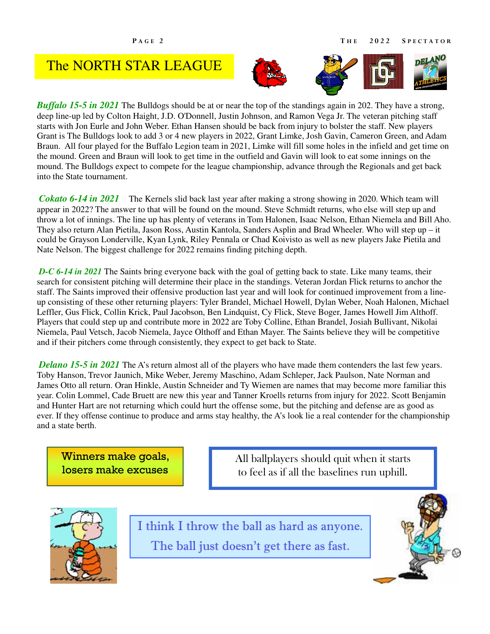## The NORTH STAR LEAGUE



*Buffalo 15-5 in 2021* The Bulldogs should be at or near the top of the standings again in 202. They have a strong, deep line-up led by Colton Haight, J.D. O'Donnell, Justin Johnson, and Ramon Vega Jr. The veteran pitching staff starts with Jon Eurle and John Weber. Ethan Hansen should be back from injury to bolster the staff. New players Grant is The Bulldogs look to add 3 or 4 new players in 2022, Grant Limke, Josh Gavin, Cameron Green, and Adam Braun. All four played for the Buffalo Legion team in 2021, Limke will fill some holes in the infield and get time on the mound. Green and Braun will look to get time in the outfield and Gavin will look to eat some innings on the mound. The Bulldogs expect to compete for the league championship, advance through the Regionals and get back into the State tournament.

*Cokato 6-14 in 2021* The Kernels slid back last year after making a strong showing in 2020. Which team will appear in 2022? The answer to that will be found on the mound. Steve Schmidt returns, who else will step up and throw a lot of innings. The line up has plenty of veterans in Tom Halonen, Isaac Nelson, Ethan Niemela and Bill Aho. They also return Alan Pietila, Jason Ross, Austin Kantola, Sanders Asplin and Brad Wheeler. Who will step up – it could be Grayson Londerville, Kyan Lynk, Riley Pennala or Chad Koivisto as well as new players Jake Pietila and Nate Nelson. The biggest challenge for 2022 remains finding pitching depth.

*D-C 6-14 in 2021* The Saints bring everyone back with the goal of getting back to state. Like many teams, their search for consistent pitching will determine their place in the standings. Veteran Jordan Flick returns to anchor the staff. The Saints improved their offensive production last year and will look for continued improvement from a lineup consisting of these other returning players: Tyler Brandel, Michael Howell, Dylan Weber, Noah Halonen, Michael Leffler, Gus Flick, Collin Krick, Paul Jacobson, Ben Lindquist, Cy Flick, Steve Boger, James Howell Jim Althoff. Players that could step up and contribute more in 2022 are Toby Colline, Ethan Brandel, Josiah Bullivant, Nikolai Niemela, Paul Vetsch, Jacob Niemela, Jayce Olthoff and Ethan Mayer. The Saints believe they will be competitive and if their pitchers come through consistently, they expect to get back to State.

*Delano 15-5 in 2021* The A's return almost all of the players who have made them contenders the last few years. Toby Hanson, Trevor Jaunich, Mike Weber, Jeremy Maschino, Adam Schleper, Jack Paulson, Nate Norman and James Otto all return. Oran Hinkle, Austin Schneider and Ty Wiemen are names that may become more familiar this year. Colin Lommel, Cade Bruett are new this year and Tanner Kroells returns from injury for 2022. Scott Benjamin and Hunter Hart are not returning which could hurt the offense some, but the pitching and defense are as good as ever. If they offense continue to produce and arms stay healthy, the A's look lie a real contender for the championship and a state berth.

Winners make goals, losers make excuses

All ballplayers should quit when it starts to feel as if all the baselines run uphill.



I think I throw the ball as hard as anyone. The ball just doesn't get there as fast.

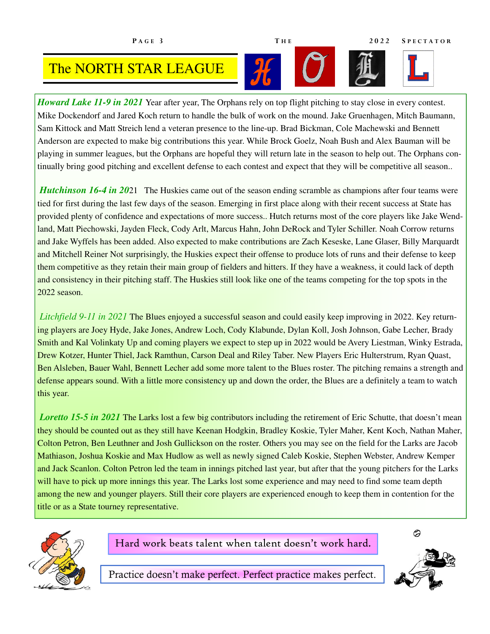### The NORTH STAR LEAGUE

*Howard Lake 11-9 in 2021* Year after year, The Orphans rely on top flight pitching to stay close in every contest. Mike Dockendorf and Jared Koch return to handle the bulk of work on the mound. Jake Gruenhagen, Mitch Baumann, Sam Kittock and Matt Streich lend a veteran presence to the line-up. Brad Bickman, Cole Machewski and Bennett Anderson are expected to make big contributions this year. While Brock Goelz, Noah Bush and Alex Bauman will be playing in summer leagues, but the Orphans are hopeful they will return late in the season to help out. The Orphans continually bring good pitching and excellent defense to each contest and expect that they will be competitive all season..

*Hutchinson 16-4 in 2021* The Huskies came out of the season ending scramble as champions after four teams were tied for first during the last few days of the season. Emerging in first place along with their recent success at State has provided plenty of confidence and expectations of more success.. Hutch returns most of the core players like Jake Wendland, Matt Piechowski, Jayden Fleck, Cody Arlt, Marcus Hahn, John DeRock and Tyler Schiller. Noah Corrow returns and Jake Wyffels has been added. Also expected to make contributions are Zach Keseske, Lane Glaser, Billy Marquardt and Mitchell Reiner Not surprisingly, the Huskies expect their offense to produce lots of runs and their defense to keep them competitive as they retain their main group of fielders and hitters. If they have a weakness, it could lack of depth and consistency in their pitching staff. The Huskies still look like one of the teams competing for the top spots in the 2022 season.

*Litchfield 9-11 in 2021* The Blues enjoyed a successful season and could easily keep improving in 2022. Key returning players are Joey Hyde, Jake Jones, Andrew Loch, Cody Klabunde, Dylan Koll, Josh Johnson, Gabe Lecher, Brady Smith and Kal Volinkaty Up and coming players we expect to step up in 2022 would be Avery Liestman, Winky Estrada, Drew Kotzer, Hunter Thiel, Jack Ramthun, Carson Deal and Riley Taber. New Players Eric Hulterstrum, Ryan Quast, Ben Alsleben, Bauer Wahl, Bennett Lecher add some more talent to the Blues roster. The pitching remains a strength and defense appears sound. With a little more consistency up and down the order, the Blues are a definitely a team to watch this year.

*Loretto 15-5 in 2021* The Larks lost a few big contributors including the retirement of Eric Schutte, that doesn't mean they should be counted out as they still have Keenan Hodgkin, Bradley Koskie, Tyler Maher, Kent Koch, Nathan Maher, Colton Petron, Ben Leuthner and Josh Gullickson on the roster. Others you may see on the field for the Larks are Jacob Mathiason, Joshua Koskie and Max Hudlow as well as newly signed Caleb Koskie, Stephen Webster, Andrew Kemper and Jack Scanlon. Colton Petron led the team in innings pitched last year, but after that the young pitchers for the Larks will have to pick up more innings this year. The Larks lost some experience and may need to find some team depth among the new and younger players. Still their core players are experienced enough to keep them in contention for the title or as a State tourney representative.



Hard work beats talent when talent doesn't work hard.



Practice doesn't make perfect. Perfect practice makes perfect.